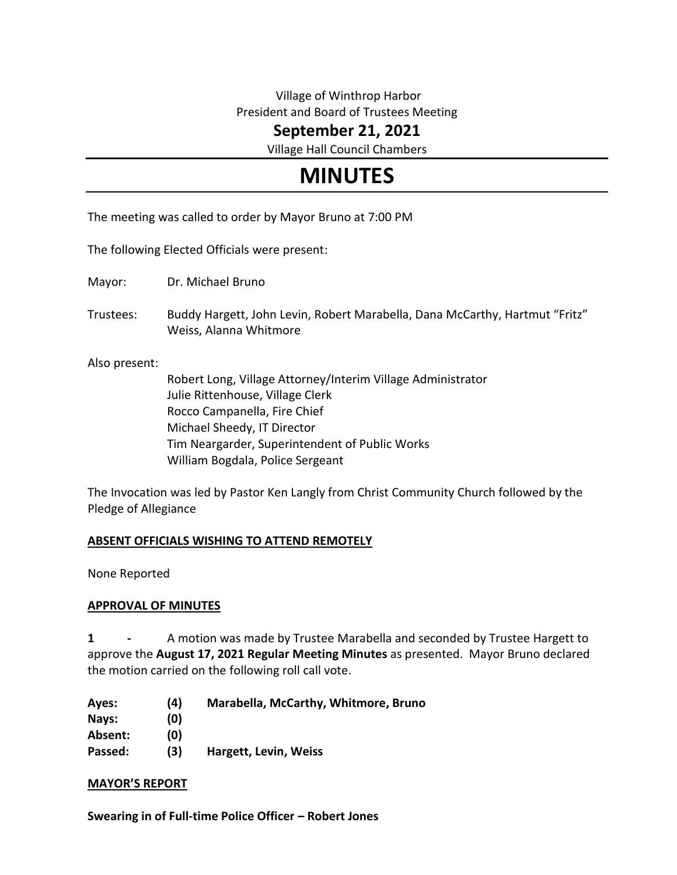# Village of Winthrop Harbor President and Board of Trustees Meeting

**September 21, 2021**

Village Hall Council Chambers

# **MINUTES**

The meeting was called to order by Mayor Bruno at 7:00 PM

The following Elected Officials were present:

Mayor: Dr. Michael Bruno

Trustees: Buddy Hargett, John Levin, Robert Marabella, Dana McCarthy, Hartmut "Fritz" Weiss, Alanna Whitmore

Also present:

Robert Long, Village Attorney/Interim Village Administrator Julie Rittenhouse, Village Clerk Rocco Campanella, Fire Chief Michael Sheedy, IT Director Tim Neargarder, Superintendent of Public Works William Bogdala, Police Sergeant

The Invocation was led by Pastor Ken Langly from Christ Community Church followed by the Pledge of Allegiance

# **ABSENT OFFICIALS WISHING TO ATTEND REMOTELY**

None Reported

## **APPROVAL OF MINUTES**

**1 -** A motion was made by Trustee Marabella and seconded by Trustee Hargett to approve the **August 17, 2021 Regular Meeting Minutes** as presented. Mayor Bruno declared the motion carried on the following roll call vote.

| (4) | Marabella, McCarthy, Whitmore, Bruno |
|-----|--------------------------------------|
| (0) |                                      |
| (0) |                                      |
| (3) | Hargett, Levin, Weiss                |
|     |                                      |

## **MAYOR'S REPORT**

**Swearing in of Full-time Police Officer – Robert Jones**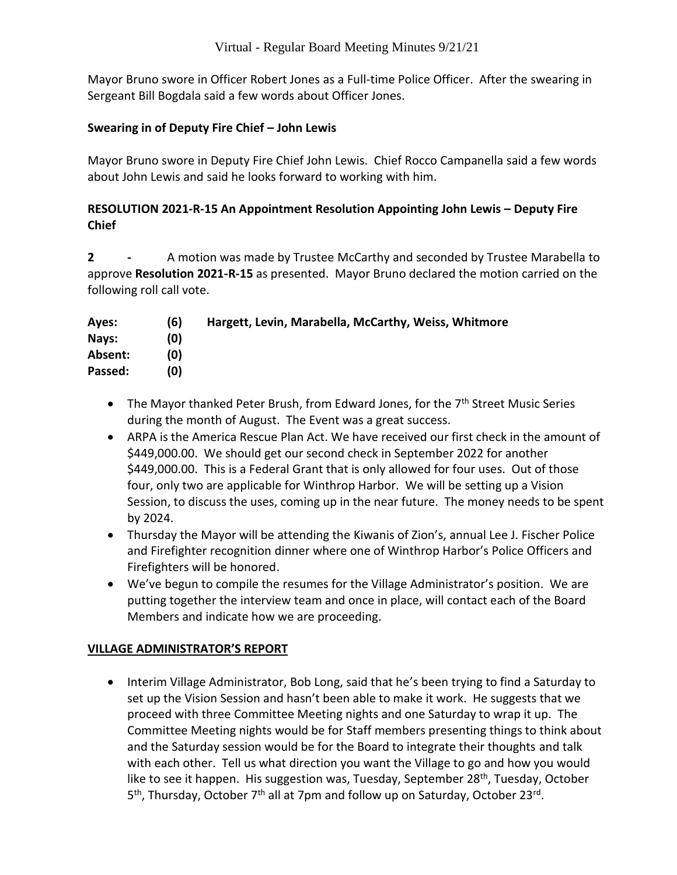Mayor Bruno swore in Officer Robert Jones as a Full-time Police Officer. After the swearing in Sergeant Bill Bogdala said a few words about Officer Jones.

## **Swearing in of Deputy Fire Chief – John Lewis**

Mayor Bruno swore in Deputy Fire Chief John Lewis. Chief Rocco Campanella said a few words about John Lewis and said he looks forward to working with him.

# **RESOLUTION 2021-R-15 An Appointment Resolution Appointing John Lewis – Deputy Fire Chief**

**2 -** A motion was made by Trustee McCarthy and seconded by Trustee Marabella to approve **Resolution 2021-R-15** as presented. Mayor Bruno declared the motion carried on the following roll call vote.

| Ayes:   | (6) | Hargett, Levin, Marabella, McCarthy, Weiss, Whitmore |
|---------|-----|------------------------------------------------------|
| Nays:   | (0) |                                                      |
| Absent: | (0) |                                                      |
| Passed: | (0) |                                                      |

- The Mayor thanked Peter Brush, from Edward Jones, for the 7<sup>th</sup> Street Music Series during the month of August. The Event was a great success.
- ARPA is the America Rescue Plan Act. We have received our first check in the amount of \$449,000.00. We should get our second check in September 2022 for another \$449,000.00. This is a Federal Grant that is only allowed for four uses. Out of those four, only two are applicable for Winthrop Harbor. We will be setting up a Vision Session, to discuss the uses, coming up in the near future. The money needs to be spent by 2024.
- Thursday the Mayor will be attending the Kiwanis of Zion's, annual Lee J. Fischer Police and Firefighter recognition dinner where one of Winthrop Harbor's Police Officers and Firefighters will be honored.
- We've begun to compile the resumes for the Village Administrator's position. We are putting together the interview team and once in place, will contact each of the Board Members and indicate how we are proceeding.

## **VILLAGE ADMINISTRATOR'S REPORT**

 Interim Village Administrator, Bob Long, said that he's been trying to find a Saturday to set up the Vision Session and hasn't been able to make it work. He suggests that we proceed with three Committee Meeting nights and one Saturday to wrap it up. The Committee Meeting nights would be for Staff members presenting things to think about and the Saturday session would be for the Board to integrate their thoughts and talk with each other. Tell us what direction you want the Village to go and how you would like to see it happen. His suggestion was, Tuesday, September 28<sup>th</sup>, Tuesday, October 5<sup>th</sup>, Thursday, October 7<sup>th</sup> all at 7pm and follow up on Saturday, October 23<sup>rd</sup>.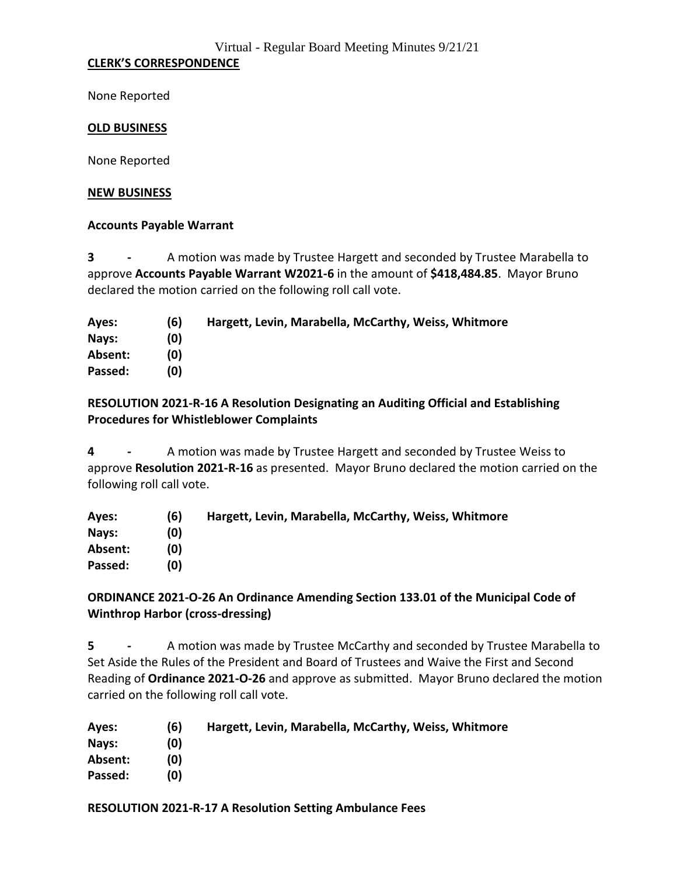## **CLERK'S CORRESPONDENCE**

None Reported

#### **OLD BUSINESS**

None Reported

#### **NEW BUSINESS**

#### **Accounts Payable Warrant**

**3 -** A motion was made by Trustee Hargett and seconded by Trustee Marabella to approve **Accounts Payable Warrant W2021-6** in the amount of **\$418,484.85**. Mayor Bruno declared the motion carried on the following roll call vote.

| Ayes:   | (6) | Hargett, Levin, Marabella, McCarthy, Weiss, Whitmore |
|---------|-----|------------------------------------------------------|
| Nays:   | (0) |                                                      |
| Absent: | (0) |                                                      |
| Passed: | (0) |                                                      |

## **RESOLUTION 2021-R-16 A Resolution Designating an Auditing Official and Establishing Procedures for Whistleblower Complaints**

**4 -** A motion was made by Trustee Hargett and seconded by Trustee Weiss to approve **Resolution 2021-R-16** as presented. Mayor Bruno declared the motion carried on the following roll call vote.

| (6) | Hargett, Levin, Marabella, McCarthy, Weiss, Whitmore |
|-----|------------------------------------------------------|
| (0) |                                                      |
| (0) |                                                      |
| (0) |                                                      |
|     |                                                      |

# **ORDINANCE 2021-O-26 An Ordinance Amending Section 133.01 of the Municipal Code of Winthrop Harbor (cross-dressing)**

**5 -** A motion was made by Trustee McCarthy and seconded by Trustee Marabella to Set Aside the Rules of the President and Board of Trustees and Waive the First and Second Reading of **Ordinance 2021-O-26** and approve as submitted. Mayor Bruno declared the motion carried on the following roll call vote.

| Ayes:   | (6) | Hargett, Levin, Marabella, McCarthy, Weiss, Whitmore |
|---------|-----|------------------------------------------------------|
| Navs:   | (0) |                                                      |
| Absent: | (0) |                                                      |
| Passed: | (0) |                                                      |

## **RESOLUTION 2021-R-17 A Resolution Setting Ambulance Fees**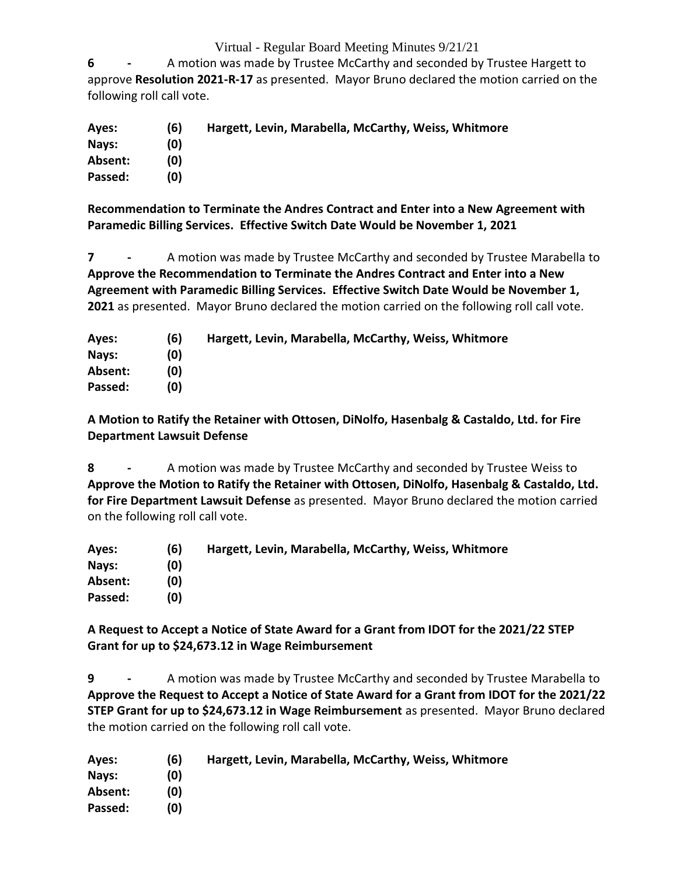**6 -** A motion was made by Trustee McCarthy and seconded by Trustee Hargett to approve **Resolution 2021-R-17** as presented. Mayor Bruno declared the motion carried on the following roll call vote.

| Ayes:   | (6) | Hargett, Levin, Marabella, McCarthy, Weiss, Whitmore |
|---------|-----|------------------------------------------------------|
| Nays:   | (0) |                                                      |
| Absent: | (0) |                                                      |
| Passed: | (0) |                                                      |

**Recommendation to Terminate the Andres Contract and Enter into a New Agreement with Paramedic Billing Services. Effective Switch Date Would be November 1, 2021**

**7 -** A motion was made by Trustee McCarthy and seconded by Trustee Marabella to **Approve the Recommendation to Terminate the Andres Contract and Enter into a New Agreement with Paramedic Billing Services. Effective Switch Date Would be November 1, 2021** as presented. Mayor Bruno declared the motion carried on the following roll call vote.

| Ayes:   | (6) | Hargett, Levin, Marabella, McCarthy, Weiss, Whitmore |
|---------|-----|------------------------------------------------------|
| Nays:   | (0) |                                                      |
| Absent: | (0) |                                                      |
| Passed: | (0) |                                                      |

**A Motion to Ratify the Retainer with Ottosen, DiNolfo, Hasenbalg & Castaldo, Ltd. for Fire Department Lawsuit Defense**

**8 -** A motion was made by Trustee McCarthy and seconded by Trustee Weiss to **Approve the Motion to Ratify the Retainer with Ottosen, DiNolfo, Hasenbalg & Castaldo, Ltd. for Fire Department Lawsuit Defense** as presented. Mayor Bruno declared the motion carried on the following roll call vote.

| Ayes:   | (6) | Hargett, Levin, Marabella, McCarthy, Weiss, Whitmore |
|---------|-----|------------------------------------------------------|
| Nays:   | (0) |                                                      |
| Absent: | (0) |                                                      |
| Passed: | (0) |                                                      |

**A Request to Accept a Notice of State Award for a Grant from IDOT for the 2021/22 STEP Grant for up to \$24,673.12 in Wage Reimbursement**

**9 -** A motion was made by Trustee McCarthy and seconded by Trustee Marabella to **Approve the Request to Accept a Notice of State Award for a Grant from IDOT for the 2021/22 STEP Grant for up to \$24,673.12 in Wage Reimbursement** as presented. Mayor Bruno declared the motion carried on the following roll call vote.

| Aves:   | (6) | Hargett, Levin, Marabella, McCarthy, Weiss, Whitmore |
|---------|-----|------------------------------------------------------|
| Nays:   | (0) |                                                      |
| Absent: | (0) |                                                      |
| Passed: | (0) |                                                      |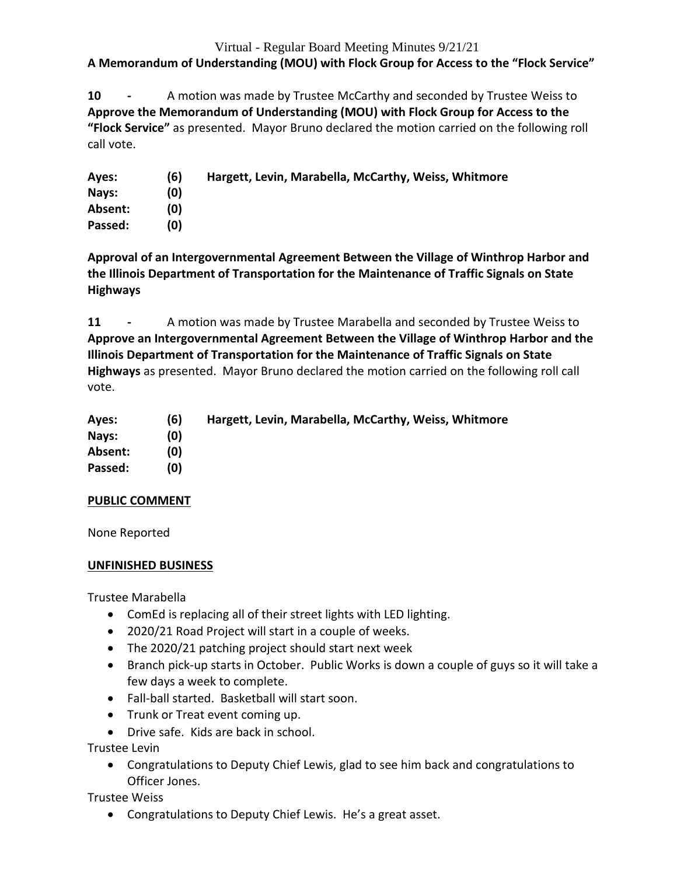**A Memorandum of Understanding (MOU) with Flock Group for Access to the "Flock Service"**

**10 -** A motion was made by Trustee McCarthy and seconded by Trustee Weiss to **Approve the Memorandum of Understanding (MOU) with Flock Group for Access to the "Flock Service"** as presented. Mayor Bruno declared the motion carried on the following roll call vote.

| Ayes:   | (6) | Hargett, Levin, Marabella, McCarthy, Weiss, Whitmore |
|---------|-----|------------------------------------------------------|
| Nays:   | (0) |                                                      |
| Absent: | (0) |                                                      |
| Passed: | (0) |                                                      |

**Approval of an Intergovernmental Agreement Between the Village of Winthrop Harbor and the Illinois Department of Transportation for the Maintenance of Traffic Signals on State Highways**

**11 -** A motion was made by Trustee Marabella and seconded by Trustee Weiss to **Approve an Intergovernmental Agreement Between the Village of Winthrop Harbor and the Illinois Department of Transportation for the Maintenance of Traffic Signals on State Highways** as presented. Mayor Bruno declared the motion carried on the following roll call vote.

| Ayes:   | (6) | Hargett, Levin, Marabella, McCarthy, Weiss, Whitmore |
|---------|-----|------------------------------------------------------|
| Nays:   | (0) |                                                      |
| Absent: | (0) |                                                      |
| Passed: | (0) |                                                      |

# **PUBLIC COMMENT**

None Reported

## **UNFINISHED BUSINESS**

Trustee Marabella

- ComEd is replacing all of their street lights with LED lighting.
- 2020/21 Road Project will start in a couple of weeks.
- The 2020/21 patching project should start next week
- Branch pick-up starts in October. Public Works is down a couple of guys so it will take a few days a week to complete.
- Fall-ball started. Basketball will start soon.
- Trunk or Treat event coming up.
- Drive safe. Kids are back in school.

Trustee Levin

 Congratulations to Deputy Chief Lewis, glad to see him back and congratulations to Officer Jones.

Trustee Weiss

Congratulations to Deputy Chief Lewis. He's a great asset.